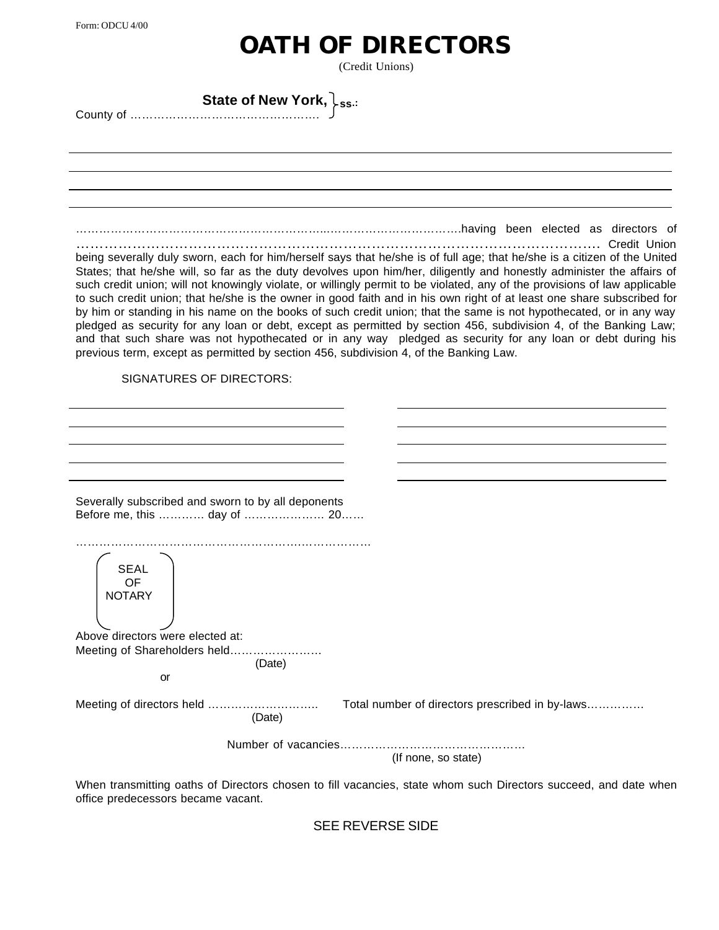## **OATH OF DIRECTORS**

(Credit Unions)

| State of New York, $\downarrow$ <sub>ss.</sub> |  |
|------------------------------------------------|--|
|                                                |  |

………………………………………………………...…………………………….having been elected as directors of …………………………………………………………………………………………………. Credit Union being severally duly sworn, each for him/herself says that he/she is of full age; that he/she is a citizen of the United States; that he/she will, so far as the duty devolves upon him/her, diligently and honestly administer the affairs of such credit union; will not knowingly violate, or willingly permit to be violated, any of the provisions of law applicable to such credit union; that he/she is the owner in good faith and in his own right of at least one share subscribed for by him or standing in his name on the books of such credit union; that the same is not hypothecated, or in any way pledged as security for any loan or debt, except as permitted by section 456, subdivision 4, of the Banking Law; and that such share was not hypothecated or in any way pledged as security for any loan or debt during his previous term, except as permitted by section 456, subdivision 4, of the Banking Law. SIGNATURES OF DIRECTORS: Severally subscribed and sworn to by all deponents Before me, this ………… day of ………………… 20…… ………………………………………………….……………… SEAL OF **NOTARY** Above directors were elected at: Meeting of Shareholders held…………………… (Date) or Meeting of directors held ……………………….. Total number of directors prescribed in by-laws…………… (Date) Number of vacancies………………………………………… (If none, so state)

When transmitting oaths of Directors chosen to fill vacancies, state whom such Directors succeed, and date when office predecessors became vacant.

SEE REVERSE SIDE